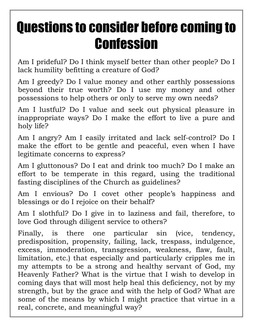# Questions to consider before coming to **Confession**

Am I prideful? Do I think myself better than other people? Do I lack humility befitting a creature of God?

Am I greedy? Do I value money and other earthly possessions beyond their true worth? Do I use my money and other possessions to help others or only to serve my own needs?

Am I lustful? Do I value and seek out physical pleasure in inappropriate ways? Do I make the effort to live a pure and holy life?

Am I angry? Am I easily irritated and lack self-control? Do I make the effort to be gentle and peaceful, even when I have legitimate concerns to express?

Am I gluttonous? Do I eat and drink too much? Do I make an effort to be temperate in this regard, using the traditional fasting disciplines of the Church as guidelines?

Am I envious? Do I covet other people's happiness and blessings or do I rejoice on their behalf?

Am I slothful? Do I give in to laziness and fail, therefore, to love God through diligent service to others?

Finally, is there one particular sin (vice, tendency, predisposition, propensity, failing, lack, trespass, indulgence, excess, immoderation, transgression, weakness, flaw, fault, limitation, etc.) that especially and particularly cripples me in my attempts to be a strong and healthy servant of God, my Heavenly Father? What is the virtue that I wish to develop in coming days that will most help heal this deficiency, not by my strength, but by the grace and with the help of God? What are some of the means by which I might practice that virtue in a real, concrete, and meaningful way?